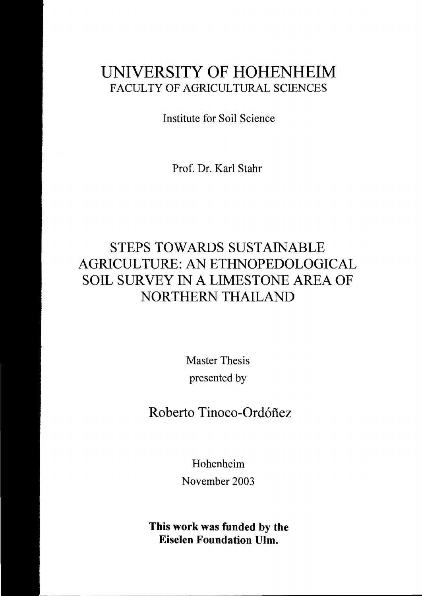## UNIVERSITY OF HOHENHEIM FACULTY OF AGRlCULTURAL SCIENCES

Institute for Soil Science

Prof. Dr. Kar! Stahr

## STEPS TOWARDS SUSTAINABLE AGRICUL TURE: AN ETHNOPEDOLOGICAL SOIL SURVEY IN A LIMESTONE AREA OF NORTHERN THAILAND

Master Thesis presented by

Roberto Tinoco-Ord6fiez

Hohenheim November 2003

This work was funded by the Eiselen Foundation Ulm.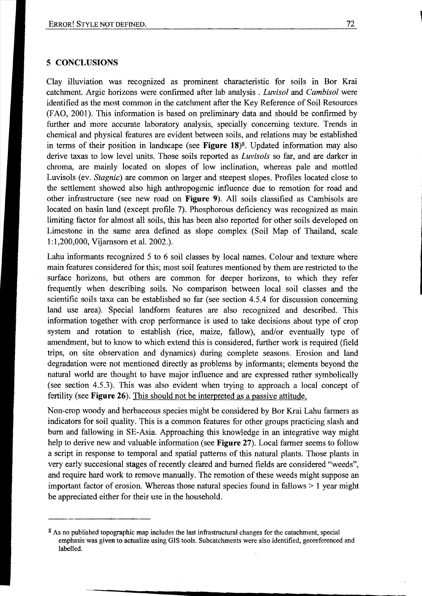## 5 **CONCLUSIONS**

Clay illuviation was recognized as prominent characteristic for soils in Bor Krai catchment. Argic horizons were confirmed after lab analysis . *Luvisol* and *Cambisol* were identified as the most common in the catchment after the Key Reference of Soil Resources (FAO, 2001). This information is based on preliminary data and should be confirmed by further and more accurate laboratory analysis, specially concerning texture. Trends in chemical and physical features are evident between soils, and relations may be established in terms of their position in landseape (see **Figure** 18)8. Updated information mayaiso derive taxas to low level units. Those soils reported as *Luvisols* so far, and are darker in chroma, are mainly located on slopes of low inelination, whereas pale and mottled Luvisols (ev. *Stagnie)* are common on larger and steepest slopes. Profiles located elose to the settlement showed also high anthropogenie influence due to remotion for road and other infrastructure (see new road on **Figure** 9). All soils elassified as Cambisols are located on basin land (except profile 7). Phosphorous deficiency was recognized as main limiting factor for almost all soils, this has been also reported for other soils developed on Limestone in the same area defined as slope complex (Soil Map of Thailand, scale 1:1 ,200,000, Vijarnsorn et al. 2002.).

Labu informants recognized 5 to 6 soil classes by local names. Colour and texture where main features considered for this; most soil features mentioned by them are restricted to the surface horizons, but others are common for deeper horizons, to which they refer frequently when describing soils. No comparison between loeal soil classes and the scientifie soils taxa can be established so far (see section 4.5.4 for discussion concerning land use area). Special landform features are also recognized and described. This information together with crop performance is used to take decisions about type of erop system and rotation to establish (rice, maize, fallow), and/or eventually type of amendment, but to know to which extend this is considered, further work is required (field trips, on site observation and dynamies) during complete seasons. Erosion and land degradation were not mentioned directly as problems by informants; elements beyond the natural world are thought to have major influence and are expressed rather symbolically (see section 4.5.3). This was also evident when trying to approach a loeal concept of fertility (see **Figure** 26). This should not be interpreted as a passive attitude.

Non-crop woody and herbaceous species might be considered by Bor Krai Labu farmers as indicators for soil quality. This is a common features for other groups practicing slash and burn and fallowing in SE-Asia. Approaching this knowledge in an integrative way might help to derive new and valuable information (see **Figure** 27). Local farmer seems to follow a script in response to temporal and spatial patterns of this natural plants. Those plants in very early succesional stages of recently cleared and burned fields are considered "weeds", and require hard work to remove manually. The remotion of these weeds might suppose an important factor of erosion. Whereas those natural species found in fallows > 1 year might be appreciated either for their use in the household.

<sup>&</sup>lt;sup>8</sup> As no published topographic map includes the last infrastructural changes for the catachment, special emphasis was given to actualize using GIS tools. Subcatchments were also identified, georeferenced and labelled.